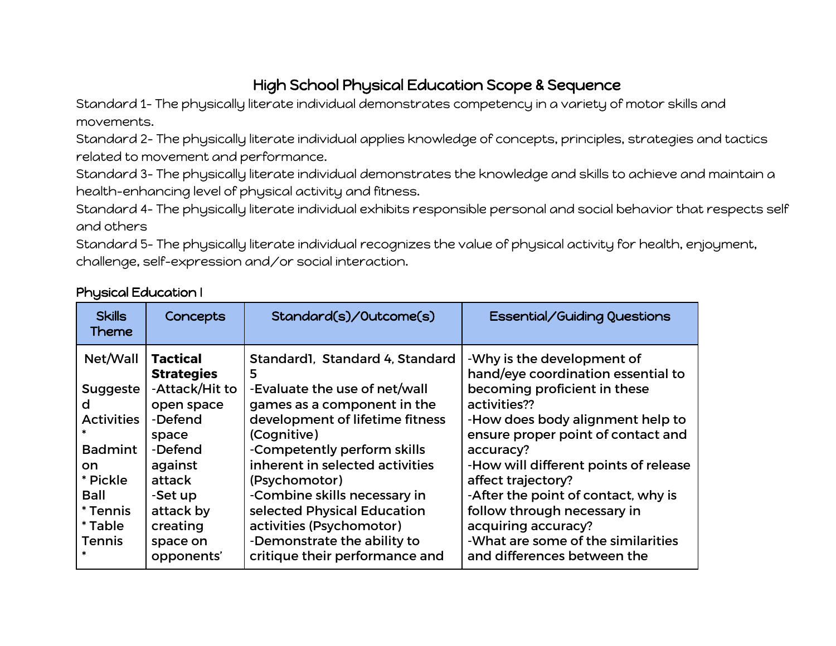## High School Physical Education Scope & Sequence

Standard 1- The physically literate individual demonstrates competency in a variety of motor skills and movements.

Standard 2- The physically literate individual applies knowledge of concepts, principles, strategies and tactics related to movement and performance.

Standard 3- The physically literate individual demonstrates the knowledge and skills to achieve and maintain a health-enhancing level of physical activity and fitness.

Standard 4- The physically literate individual exhibits responsible personal and social behavior that respects self and others

Standard 5- The physically literate individual recognizes the value of physical activity for health, enjoyment, challenge, self-expression and/or social interaction.

| Net/Wall<br><b>Tactical</b><br>Standard1, Standard 4, Standard<br>-Why is the development of<br><b>Strategies</b><br>5<br>-Attack/Hit to<br>becoming proficient in these<br>-Evaluate the use of net/wall<br><b>Suggeste</b><br>activities??<br>games as a component in the<br>d<br>open space<br><b>Activities</b><br>-Defend<br>development of lifetime fitness<br>(Cognitive)<br>space<br><b>Badmint</b><br>-Defend<br>-Competently perform skills<br>accuracy?<br>inherent in selected activities<br>against<br>on<br>* Pickle<br>affect trajectory?<br>attack<br>(Psychomotor)<br>-Combine skills necessary in<br>-After the point of contact, why is<br>Ball<br>-Set up<br>* Tennis<br>follow through necessary in<br>attack by<br>selected Physical Education<br>activities (Psychomotor)<br>creating<br>acquiring accuracy?<br>* Table<br>-What are some of the similarities<br>-Demonstrate the ability to<br><b>Tennis</b><br>space on | <b>Skills</b><br><b>Theme</b> | Concepts   | Standard(s)/Outcome(s)         | Essential/Guiding Questions                                                                                                                                                          |
|--------------------------------------------------------------------------------------------------------------------------------------------------------------------------------------------------------------------------------------------------------------------------------------------------------------------------------------------------------------------------------------------------------------------------------------------------------------------------------------------------------------------------------------------------------------------------------------------------------------------------------------------------------------------------------------------------------------------------------------------------------------------------------------------------------------------------------------------------------------------------------------------------------------------------------------------------|-------------------------------|------------|--------------------------------|--------------------------------------------------------------------------------------------------------------------------------------------------------------------------------------|
|                                                                                                                                                                                                                                                                                                                                                                                                                                                                                                                                                                                                                                                                                                                                                                                                                                                                                                                                                  |                               | opponents' | critique their performance and | hand/eye coordination essential to<br>-How does body alignment help to<br>ensure proper point of contact and<br>-How will different points of release<br>and differences between the |

#### Physical Education I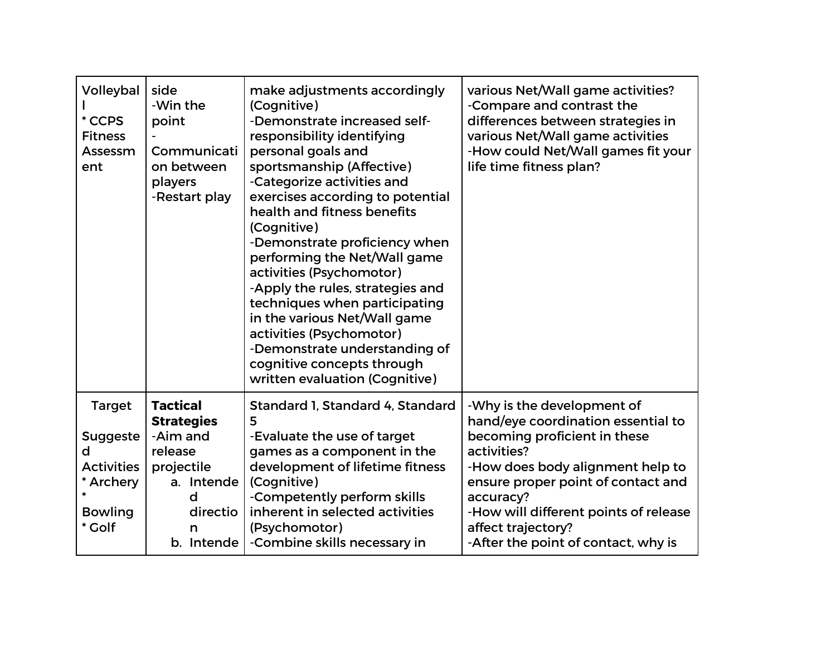| Volleybal<br>* CCPS<br><b>Fitness</b><br>Assessm<br>ent                            | side<br>-Win the<br>point<br>Communicati<br>on between<br>players<br>-Restart play | make adjustments accordingly<br>(Cognitive)<br>-Demonstrate increased self-<br>responsibility identifying<br>personal goals and<br>sportsmanship (Affective)<br>-Categorize activities and<br>exercises according to potential<br>health and fitness benefits<br>(Cognitive)<br>-Demonstrate proficiency when<br>performing the Net/Wall game<br>activities (Psychomotor)<br>-Apply the rules, strategies and<br>techniques when participating<br>in the various Net/Wall game<br>activities (Psychomotor)<br>-Demonstrate understanding of<br>cognitive concepts through<br>written evaluation (Cognitive) | various Net/Wall game activities?<br>-Compare and contrast the<br>differences between strategies in<br>various Net/Wall game activities<br>-How could Net/Wall games fit your<br>life time fitness plan? |
|------------------------------------------------------------------------------------|------------------------------------------------------------------------------------|-------------------------------------------------------------------------------------------------------------------------------------------------------------------------------------------------------------------------------------------------------------------------------------------------------------------------------------------------------------------------------------------------------------------------------------------------------------------------------------------------------------------------------------------------------------------------------------------------------------|----------------------------------------------------------------------------------------------------------------------------------------------------------------------------------------------------------|
| <b>Target</b>                                                                      | <b>Tactical</b><br><b>Strategies</b>                                               | Standard 1, Standard 4, Standard<br>5                                                                                                                                                                                                                                                                                                                                                                                                                                                                                                                                                                       | -Why is the development of<br>hand/eye coordination essential to                                                                                                                                         |
| <b>Suggeste</b><br>d<br><b>Activities</b><br>* Archery<br><b>Bowling</b><br>* Golf | -Aim and<br>release<br>projectile<br>a. Intende<br>d<br>directio<br>n              | -Evaluate the use of target<br>games as a component in the<br>development of lifetime fitness<br>(Cognitive)<br>-Competently perform skills<br>inherent in selected activities<br>(Psychomotor)                                                                                                                                                                                                                                                                                                                                                                                                             | becoming proficient in these<br>activities?<br>-How does body alignment help to<br>ensure proper point of contact and<br>accuracy?<br>-How will different points of release<br>affect trajectory?        |
|                                                                                    | b. Intende                                                                         | -Combine skills necessary in                                                                                                                                                                                                                                                                                                                                                                                                                                                                                                                                                                                | -After the point of contact, why is                                                                                                                                                                      |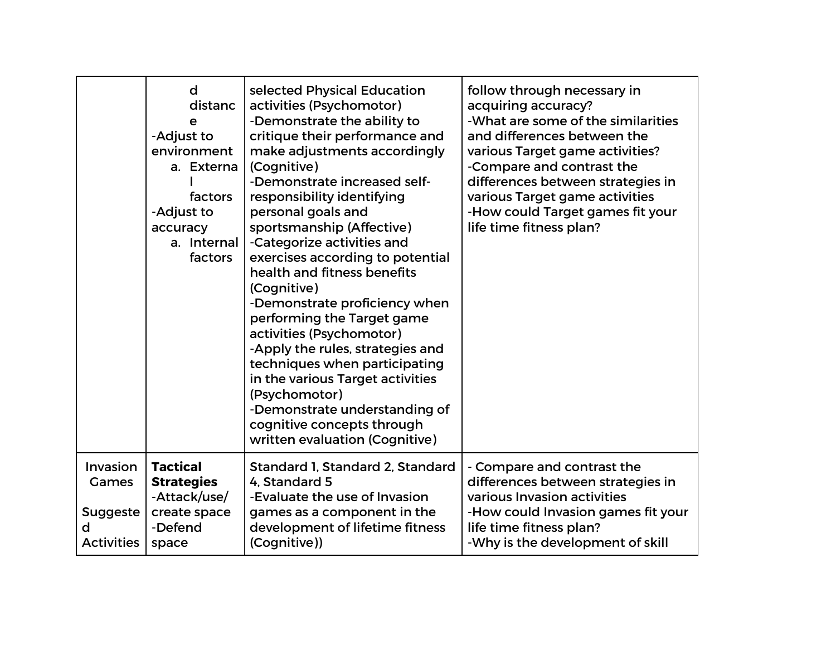|                                                                | d<br>distanc<br>e<br>-Adjust to<br>environment<br>a. Externa<br>factors<br>-Adjust to<br>accuracy<br>a. Internal<br>factors | selected Physical Education<br>activities (Psychomotor)<br>-Demonstrate the ability to<br>critique their performance and<br>make adjustments accordingly<br>(Cognitive)<br>-Demonstrate increased self-<br>responsibility identifying<br>personal goals and<br>sportsmanship (Affective)<br>-Categorize activities and<br>exercises according to potential<br>health and fitness benefits<br>(Cognitive)<br>-Demonstrate proficiency when<br>performing the Target game<br>activities (Psychomotor)<br>-Apply the rules, strategies and<br>techniques when participating<br>in the various Target activities<br>(Psychomotor)<br>-Demonstrate understanding of<br>cognitive concepts through<br>written evaluation (Cognitive) | follow through necessary in<br>acquiring accuracy?<br>-What are some of the similarities<br>and differences between the<br>various Target game activities?<br>-Compare and contrast the<br>differences between strategies in<br>various Target game activities<br>-How could Target games fit your<br>life time fitness plan? |
|----------------------------------------------------------------|-----------------------------------------------------------------------------------------------------------------------------|--------------------------------------------------------------------------------------------------------------------------------------------------------------------------------------------------------------------------------------------------------------------------------------------------------------------------------------------------------------------------------------------------------------------------------------------------------------------------------------------------------------------------------------------------------------------------------------------------------------------------------------------------------------------------------------------------------------------------------|-------------------------------------------------------------------------------------------------------------------------------------------------------------------------------------------------------------------------------------------------------------------------------------------------------------------------------|
| Invasion<br>Games<br><b>Suggeste</b><br>d<br><b>Activities</b> | <b>Tactical</b><br><b>Strategies</b><br>-Attack/use/<br>create space<br>-Defend<br>space                                    | Standard 1, Standard 2, Standard<br>4. Standard 5<br>-Evaluate the use of Invasion<br>games as a component in the<br>development of lifetime fitness<br>(Cognitive))                                                                                                                                                                                                                                                                                                                                                                                                                                                                                                                                                           | - Compare and contrast the<br>differences between strategies in<br>various Invasion activities<br>-How could Invasion games fit your<br>life time fitness plan?<br>-Why is the development of skill                                                                                                                           |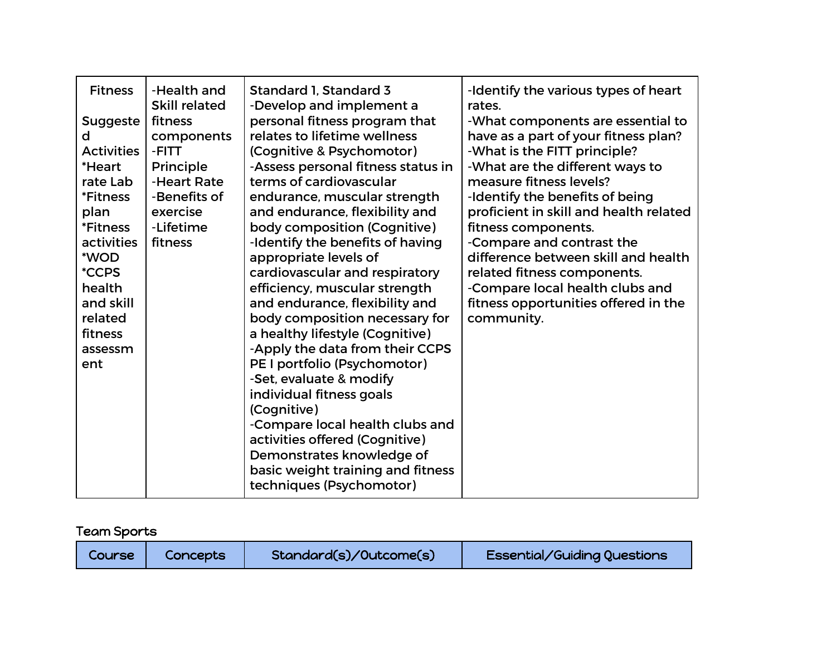| <b>Fitness</b><br><b>Suggeste</b><br>d<br><b>Activities</b><br>*Heart<br>rate Lab<br>*Fitness<br>plan<br><i><b>*Fitness</b></i><br>activities<br>*WOD<br><i><b>*CCPS</b></i><br>health<br>and skill<br>related<br>fitness<br>assessm<br>ent | -Health and<br>Skill related<br>fitness<br>components<br>-FITT<br>Principle<br>-Heart Rate<br>-Benefits of<br>exercise<br>-Lifetime<br>fitness | Standard 1, Standard 3<br>-Develop and implement a<br>personal fitness program that<br>relates to lifetime wellness<br>(Cognitive & Psychomotor)<br>-Assess personal fitness status in<br>terms of cardiovascular<br>endurance, muscular strength<br>and endurance, flexibility and<br>body composition (Cognitive)<br>-Identify the benefits of having<br>appropriate levels of<br>cardiovascular and respiratory<br>efficiency, muscular strength<br>and endurance, flexibility and<br>body composition necessary for<br>a healthy lifestyle (Cognitive)<br>-Apply the data from their CCPS<br>PE I portfolio (Psychomotor)<br>-Set, evaluate & modify<br>individual fitness goals<br>(Cognitive)<br>-Compare local health clubs and<br>activities offered (Cognitive)<br>Demonstrates knowledge of | -Identify the various types of heart<br>rates.<br>-What components are essential to<br>have as a part of your fitness plan?<br>-What is the FITT principle?<br>-What are the different ways to<br>measure fitness levels?<br>-Identify the benefits of being<br>proficient in skill and health related<br>fitness components.<br>-Compare and contrast the<br>difference between skill and health<br>related fitness components.<br>-Compare local health clubs and<br>fitness opportunities offered in the<br>community. |
|---------------------------------------------------------------------------------------------------------------------------------------------------------------------------------------------------------------------------------------------|------------------------------------------------------------------------------------------------------------------------------------------------|-------------------------------------------------------------------------------------------------------------------------------------------------------------------------------------------------------------------------------------------------------------------------------------------------------------------------------------------------------------------------------------------------------------------------------------------------------------------------------------------------------------------------------------------------------------------------------------------------------------------------------------------------------------------------------------------------------------------------------------------------------------------------------------------------------|---------------------------------------------------------------------------------------------------------------------------------------------------------------------------------------------------------------------------------------------------------------------------------------------------------------------------------------------------------------------------------------------------------------------------------------------------------------------------------------------------------------------------|
|                                                                                                                                                                                                                                             |                                                                                                                                                | basic weight training and fitness<br>techniques (Psychomotor)                                                                                                                                                                                                                                                                                                                                                                                                                                                                                                                                                                                                                                                                                                                                         |                                                                                                                                                                                                                                                                                                                                                                                                                                                                                                                           |

# Team Sports

| Standard(s)/Outcome(s)<br><b>Concepts</b><br>Course | Essential/Guiding Questions |
|-----------------------------------------------------|-----------------------------|
|-----------------------------------------------------|-----------------------------|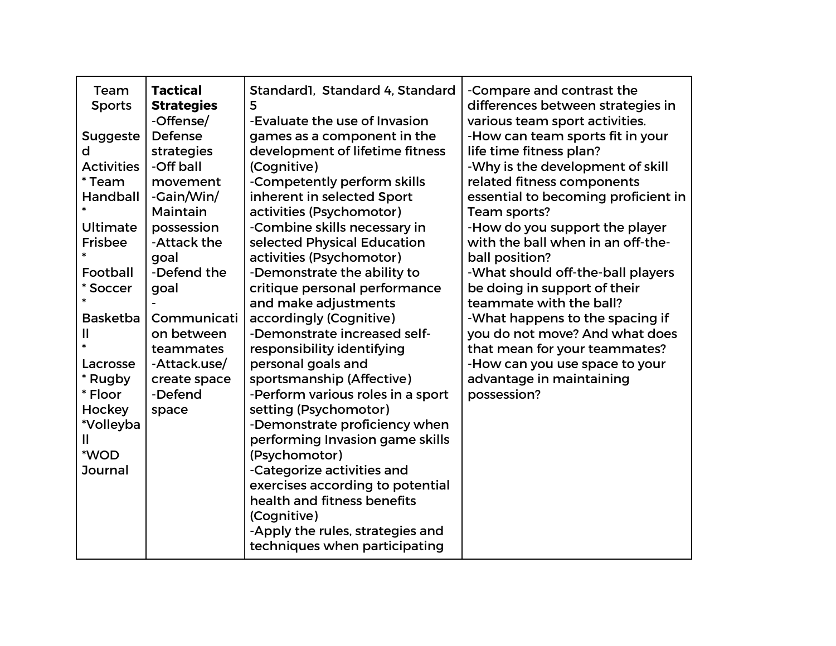| Team              | <b>Tactical</b>   | Standard1, Standard 4, Standard   | -Compare and contrast the           |
|-------------------|-------------------|-----------------------------------|-------------------------------------|
| <b>Sports</b>     | <b>Strategies</b> | 5                                 | differences between strategies in   |
|                   | -Offense/         | -Evaluate the use of Invasion     | various team sport activities.      |
| <b>Suggeste</b>   | Defense           | games as a component in the       | -How can team sports fit in your    |
| d                 | strategies        | development of lifetime fitness   | life time fitness plan?             |
| <b>Activities</b> | -Off ball         | (Cognitive)                       | -Why is the development of skill    |
| * Team            | movement          | -Competently perform skills       | related fitness components          |
| Handball          | -Gain/Win/        | inherent in selected Sport        | essential to becoming proficient in |
|                   | Maintain          | activities (Psychomotor)          | Team sports?                        |
| Ultimate          | possession        | -Combine skills necessary in      | -How do you support the player      |
| <b>Frisbee</b>    | -Attack the       | selected Physical Education       | with the ball when in an off-the-   |
|                   | goal              | activities (Psychomotor)          | ball position?                      |
| Football          | -Defend the       | -Demonstrate the ability to       | -What should off-the-ball players   |
| * Soccer          | goal              | critique personal performance     | be doing in support of their        |
|                   |                   | and make adjustments              | teammate with the ball?             |
| <b>Basketba</b>   | Communicati       | accordingly (Cognitive)           | -What happens to the spacing if     |
|                   | on between        | -Demonstrate increased self-      | you do not move? And what does      |
|                   | teammates         | responsibility identifying        | that mean for your teammates?       |
| Lacrosse          | -Attack.use/      | personal goals and                | -How can you use space to your      |
| * Rugby           | create space      | sportsmanship (Affective)         | advantage in maintaining            |
| * Floor           | -Defend           | -Perform various roles in a sport | possession?                         |
| Hockey            | space             | setting (Psychomotor)             |                                     |
| *Volleyba         |                   | -Demonstrate proficiency when     |                                     |
| Ш                 |                   | performing Invasion game skills   |                                     |
| *WOD              |                   | (Psychomotor)                     |                                     |
| <b>Journal</b>    |                   | -Categorize activities and        |                                     |
|                   |                   | exercises according to potential  |                                     |
|                   |                   | health and fitness benefits       |                                     |
|                   |                   | (Cognitive)                       |                                     |
|                   |                   | -Apply the rules, strategies and  |                                     |
|                   |                   | techniques when participating     |                                     |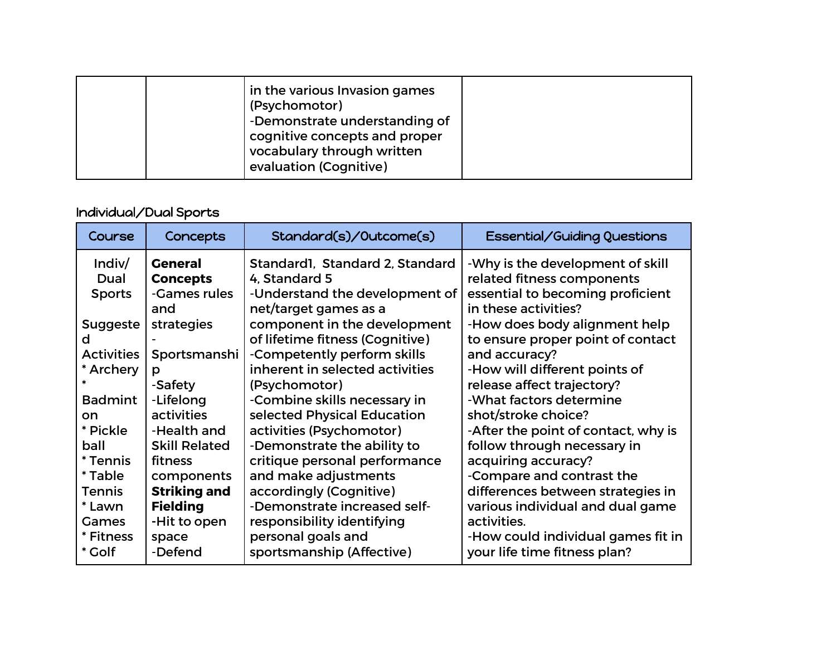|  | in the various Invasion games<br>(Psychomotor)<br>-Demonstrate understanding of<br>cognitive concepts and proper<br>vocabulary through written<br>evaluation (Cognitive) |  |
|--|--------------------------------------------------------------------------------------------------------------------------------------------------------------------------|--|
|  |                                                                                                                                                                          |  |

## Individual/Dual Sports

| Course            | Concepts             | Standard(s)/Outcome(s)          | Essential/Guiding Questions         |
|-------------------|----------------------|---------------------------------|-------------------------------------|
| Indiv/            | <b>General</b>       | Standard1, Standard 2, Standard | -Why is the development of skill    |
| Dual              | <b>Concepts</b>      | 4. Standard 5                   | related fitness components          |
| <b>Sports</b>     | -Games rules         | -Understand the development of  | essential to becoming proficient    |
|                   | and                  | net/target games as a           | in these activities?                |
| <b>Suggeste</b>   | strategies           | component in the development    | -How does body alignment help       |
| d                 |                      | of lifetime fitness (Cognitive) | to ensure proper point of contact   |
| <b>Activities</b> | Sportsmanshi         | -Competently perform skills     | and accuracy?                       |
| * Archery         | р                    | inherent in selected activities | -How will different points of       |
|                   | -Safety              | (Psychomotor)                   | release affect trajectory?          |
| <b>Badmint</b>    | -Lifelong            | -Combine skills necessary in    | -What factors determine             |
| on                | activities           | selected Physical Education     | shot/stroke choice?                 |
| * Pickle          | -Health and          | activities (Psychomotor)        | -After the point of contact, why is |
| ball              | <b>Skill Related</b> | -Demonstrate the ability to     | follow through necessary in         |
| * Tennis          | fitness              | critique personal performance   | acquiring accuracy?                 |
| * Table           | components           | and make adjustments            | -Compare and contrast the           |
| <b>Tennis</b>     | <b>Striking and</b>  | accordingly (Cognitive)         | differences between strategies in   |
| * Lawn            | <b>Fielding</b>      | -Demonstrate increased self-    | various individual and dual game    |
| <b>Games</b>      | -Hit to open         | responsibility identifying      | activities.                         |
| * Fitness         | space                | personal goals and              | -How could individual games fit in  |
| * Golf            | -Defend              | sportsmanship (Affective)       | your life time fitness plan?        |
|                   |                      |                                 |                                     |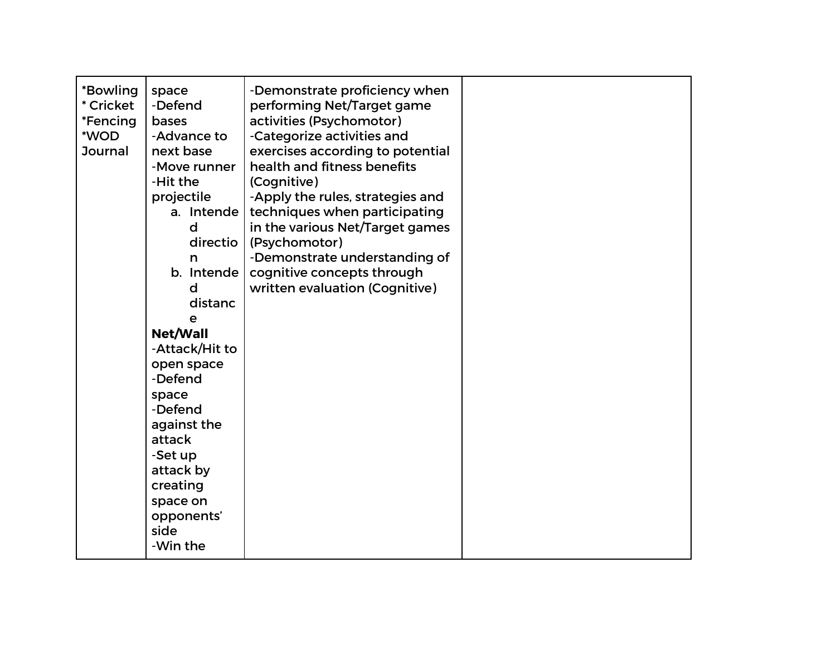| -Attack/Hit to<br>open space<br>-Defend<br>space<br>-Defend<br>against the<br>attack<br>-Set up<br>attack by<br>creating<br>space on<br>opponents'<br>side<br>-Win the | *Bowling<br>* Cricket<br>*Fencing<br>*WOD<br>Journal | space<br>-Defend<br><b>bases</b><br>-Advance to<br>next base<br>-Move runner<br>-Hit the<br>projectile<br>a. Intende<br>d<br>directio<br>n<br>b. Intende<br>d<br>distanc<br>e<br>Net/Wall | -Demonstrate proficiency when<br>performing Net/Target game<br>activities (Psychomotor)<br>-Categorize activities and<br>exercises according to potential<br>health and fitness benefits<br>(Cognitive)<br>-Apply the rules, strategies and<br>techniques when participating<br>in the various Net/Target games<br>(Psychomotor)<br>-Demonstrate understanding of<br>cognitive concepts through<br>written evaluation (Cognitive) |  |
|------------------------------------------------------------------------------------------------------------------------------------------------------------------------|------------------------------------------------------|-------------------------------------------------------------------------------------------------------------------------------------------------------------------------------------------|-----------------------------------------------------------------------------------------------------------------------------------------------------------------------------------------------------------------------------------------------------------------------------------------------------------------------------------------------------------------------------------------------------------------------------------|--|
|------------------------------------------------------------------------------------------------------------------------------------------------------------------------|------------------------------------------------------|-------------------------------------------------------------------------------------------------------------------------------------------------------------------------------------------|-----------------------------------------------------------------------------------------------------------------------------------------------------------------------------------------------------------------------------------------------------------------------------------------------------------------------------------------------------------------------------------------------------------------------------------|--|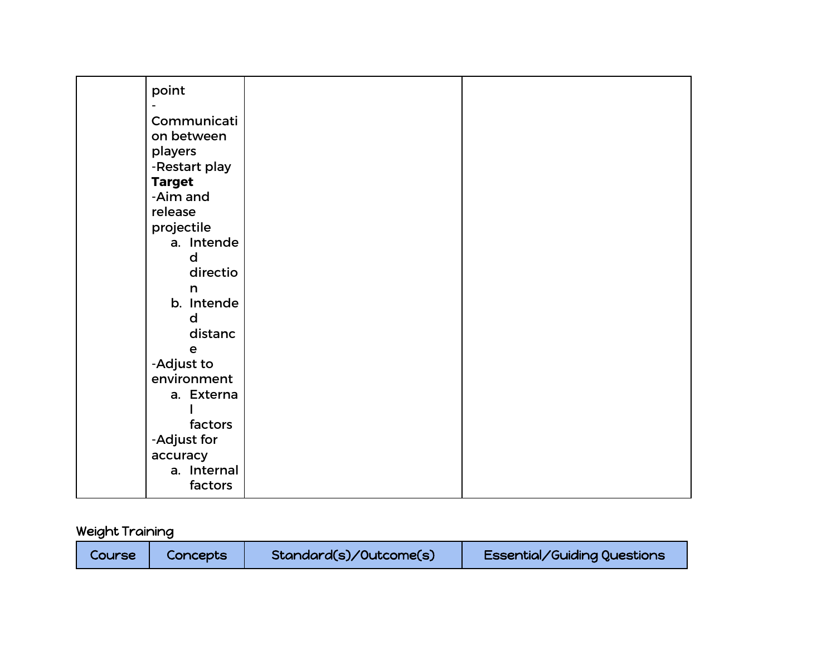| point         |  |
|---------------|--|
| Communicati   |  |
| on between    |  |
| players       |  |
| -Restart play |  |
| <b>Target</b> |  |
| -Aim and      |  |
| release       |  |
| projectile    |  |
| a. Intende    |  |
| d             |  |
| directio      |  |
| n             |  |
| b. Intende    |  |
| d             |  |
| distanc       |  |
| $\mathbf e$   |  |
| -Adjust to    |  |
| environment   |  |
| a. Externa    |  |
|               |  |
| factors       |  |
| -Adjust for   |  |
| accuracy      |  |
| a. Internal   |  |
| factors       |  |
|               |  |

# Weight Training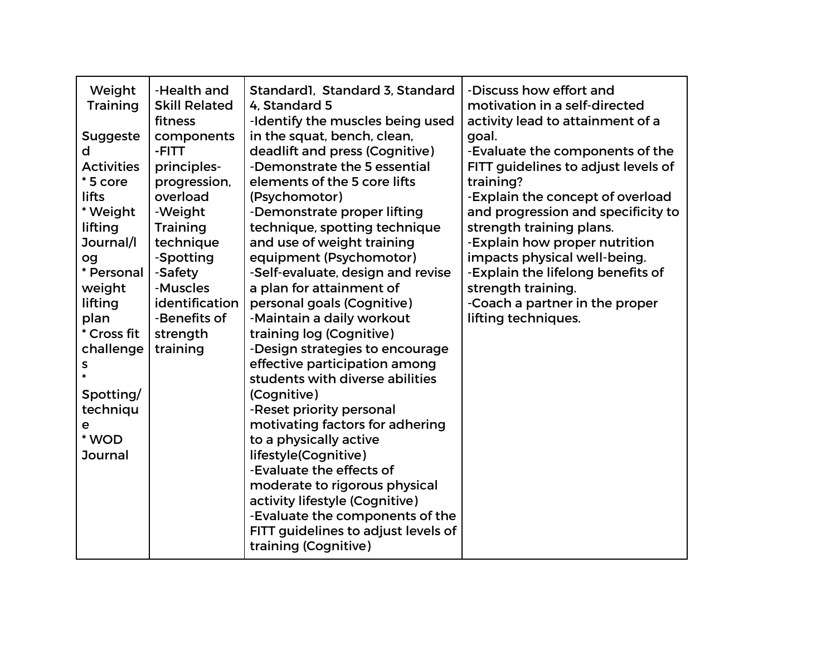| Weight            | -Health and          | Standard1, Standard 3, Standard     | -Discuss how effort and             |
|-------------------|----------------------|-------------------------------------|-------------------------------------|
| <b>Training</b>   | <b>Skill Related</b> | 4. Standard 5                       | motivation in a self-directed       |
|                   | fitness              | -Identify the muscles being used    | activity lead to attainment of a    |
| <b>Suggeste</b>   | components           | in the squat, bench, clean,         | goal.                               |
| d                 | -FITT                | deadlift and press (Cognitive)      | -Evaluate the components of the     |
| <b>Activities</b> | principles-          | -Demonstrate the 5 essential        | FITT guidelines to adjust levels of |
| *5 core           | progression,         | elements of the 5 core lifts        | training?                           |
| <b>lifts</b>      | overload             | (Psychomotor)                       | -Explain the concept of overload    |
| * Weight          | -Weight              | -Demonstrate proper lifting         | and progression and specificity to  |
| lifting           | Training             | technique, spotting technique       | strength training plans.            |
| Journal/I         | technique            | and use of weight training          | -Explain how proper nutrition       |
| og                | -Spotting            | equipment (Psychomotor)             | impacts physical well-being.        |
| * Personal        | -Safety              | -Self-evaluate, design and revise   | -Explain the lifelong benefits of   |
| weight            | -Muscles             | a plan for attainment of            | strength training.                  |
| lifting           | identification       | personal goals (Cognitive)          | -Coach a partner in the proper      |
| plan              | -Benefits of         | -Maintain a daily workout           | lifting techniques.                 |
| * Cross fit       | strength             | training log (Cognitive)            |                                     |
| challenge         | training             | -Design strategies to encourage     |                                     |
| s                 |                      | effective participation among       |                                     |
|                   |                      | students with diverse abilities     |                                     |
| Spotting/         |                      | (Cognitive)                         |                                     |
| techniqu          |                      | -Reset priority personal            |                                     |
| е                 |                      | motivating factors for adhering     |                                     |
| * WOD             |                      | to a physically active              |                                     |
| <b>Journal</b>    |                      | lifestyle(Cognitive)                |                                     |
|                   |                      | -Evaluate the effects of            |                                     |
|                   |                      | moderate to rigorous physical       |                                     |
|                   |                      | activity lifestyle (Cognitive)      |                                     |
|                   |                      | -Evaluate the components of the     |                                     |
|                   |                      | FITT guidelines to adjust levels of |                                     |
|                   |                      | training (Cognitive)                |                                     |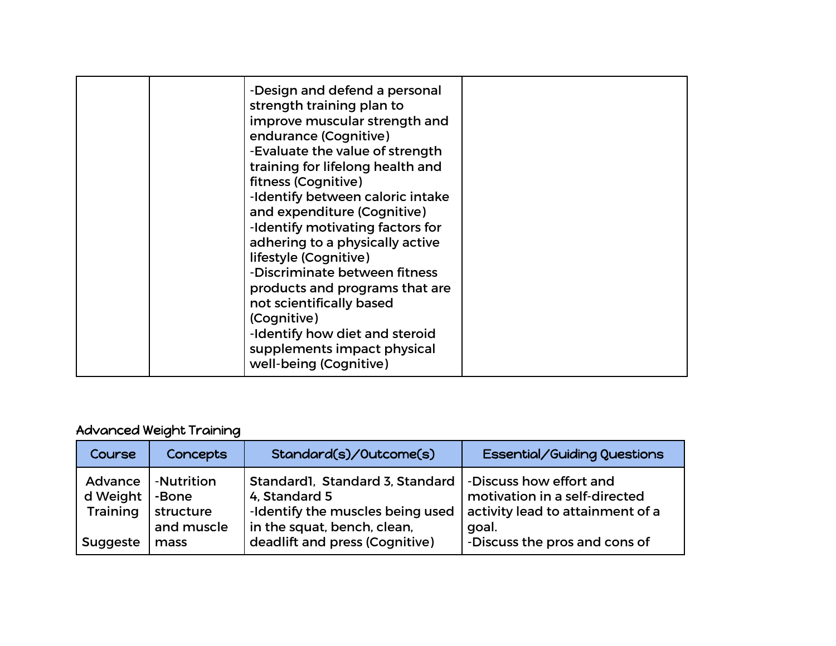| -Design and defend a personal<br>strength training plan to<br>improve muscular strength and<br>endurance (Cognitive)<br>-Evaluate the value of strength<br>training for lifelong health and<br>fitness (Cognitive)<br>-Identify between caloric intake<br>and expenditure (Cognitive)<br>-Identify motivating factors for<br>adhering to a physically active<br>lifestyle (Cognitive)<br>-Discriminate between fitness<br>products and programs that are<br>not scientifically based |  |
|--------------------------------------------------------------------------------------------------------------------------------------------------------------------------------------------------------------------------------------------------------------------------------------------------------------------------------------------------------------------------------------------------------------------------------------------------------------------------------------|--|
|                                                                                                                                                                                                                                                                                                                                                                                                                                                                                      |  |
| (Cognitive)<br>-Identify how diet and steroid<br>supplements impact physical<br>well-being (Cognitive)                                                                                                                                                                                                                                                                                                                                                                               |  |

## Advanced Weight Training

| Course                                      | Concepts                                               | Standard(s)/Outcome(s)                                                                                                                                | Essential/Guiding Questions                                                                                                            |
|---------------------------------------------|--------------------------------------------------------|-------------------------------------------------------------------------------------------------------------------------------------------------------|----------------------------------------------------------------------------------------------------------------------------------------|
| Advance<br>d Weight<br>Training<br>Suggeste | -Nutrition<br>-Bone<br>structure<br>and muscle<br>mass | Standard1, Standard 3, Standard<br>4, Standard 5<br>-Identify the muscles being used<br>in the squat, bench, clean,<br>deadlift and press (Cognitive) | -Discuss how effort and<br>motivation in a self-directed<br>activity lead to attainment of a<br>goal.<br>-Discuss the pros and cons of |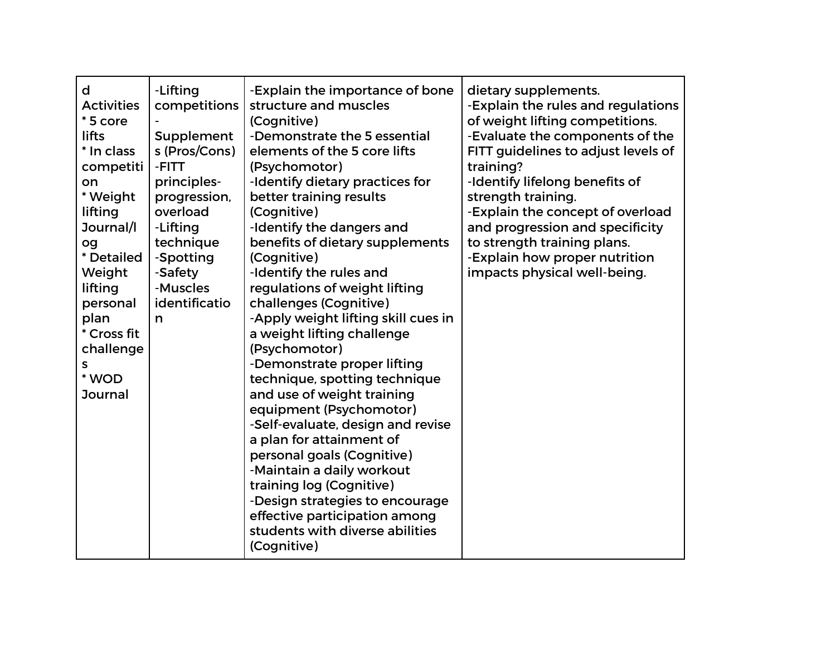| -Lifting<br>-Explain the importance of bone<br>d<br>competitions<br>structure and muscles<br><b>Activities</b><br>*5 core<br>(Cognitive)<br>lifts<br>Supplement<br>-Demonstrate the 5 essential<br>s (Pros/Cons)<br>* In class<br>elements of the 5 core lifts<br>competiti<br>-FITT<br>(Psychomotor)<br>principles-<br>-Identify dietary practices for<br>on<br>* Weight<br>progression,<br>better training results<br>overload<br>(Cognitive)<br>lifting<br>Journal/I<br>-Identify the dangers and<br>-Lifting<br>technique<br>benefits of dietary supplements<br>og<br>* Detailed<br>-Spotting<br>(Cognitive)<br>-Identify the rules and<br>Weight<br>-Safety<br>-Muscles<br>lifting<br>regulations of weight lifting<br>identificatio<br>challenges (Cognitive)<br>personal<br>-Apply weight lifting skill cues in<br>plan<br>n<br>* Cross fit<br>a weight lifting challenge<br>(Psychomotor)<br>challenge<br>-Demonstrate proper lifting<br>s<br>* WOD<br>technique, spotting technique<br>and use of weight training<br><b>Journal</b><br>equipment (Psychomotor)<br>-Self-evaluate, design and revise<br>a plan for attainment of<br>personal goals (Cognitive)<br>-Maintain a daily workout<br>training log (Cognitive)<br>-Design strategies to encourage<br>effective participation among<br>students with diverse abilities<br>(Cognitive) | dietary supplements.<br>-Explain the rules and regulations<br>of weight lifting competitions.<br>-Evaluate the components of the<br>FITT guidelines to adjust levels of<br>training?<br>-Identify lifelong benefits of<br>strength training.<br>-Explain the concept of overload<br>and progression and specificity<br>to strength training plans.<br>-Explain how proper nutrition<br>impacts physical well-being. |
|-------------------------------------------------------------------------------------------------------------------------------------------------------------------------------------------------------------------------------------------------------------------------------------------------------------------------------------------------------------------------------------------------------------------------------------------------------------------------------------------------------------------------------------------------------------------------------------------------------------------------------------------------------------------------------------------------------------------------------------------------------------------------------------------------------------------------------------------------------------------------------------------------------------------------------------------------------------------------------------------------------------------------------------------------------------------------------------------------------------------------------------------------------------------------------------------------------------------------------------------------------------------------------------------------------------------------------------------------------|---------------------------------------------------------------------------------------------------------------------------------------------------------------------------------------------------------------------------------------------------------------------------------------------------------------------------------------------------------------------------------------------------------------------|
|-------------------------------------------------------------------------------------------------------------------------------------------------------------------------------------------------------------------------------------------------------------------------------------------------------------------------------------------------------------------------------------------------------------------------------------------------------------------------------------------------------------------------------------------------------------------------------------------------------------------------------------------------------------------------------------------------------------------------------------------------------------------------------------------------------------------------------------------------------------------------------------------------------------------------------------------------------------------------------------------------------------------------------------------------------------------------------------------------------------------------------------------------------------------------------------------------------------------------------------------------------------------------------------------------------------------------------------------------------|---------------------------------------------------------------------------------------------------------------------------------------------------------------------------------------------------------------------------------------------------------------------------------------------------------------------------------------------------------------------------------------------------------------------|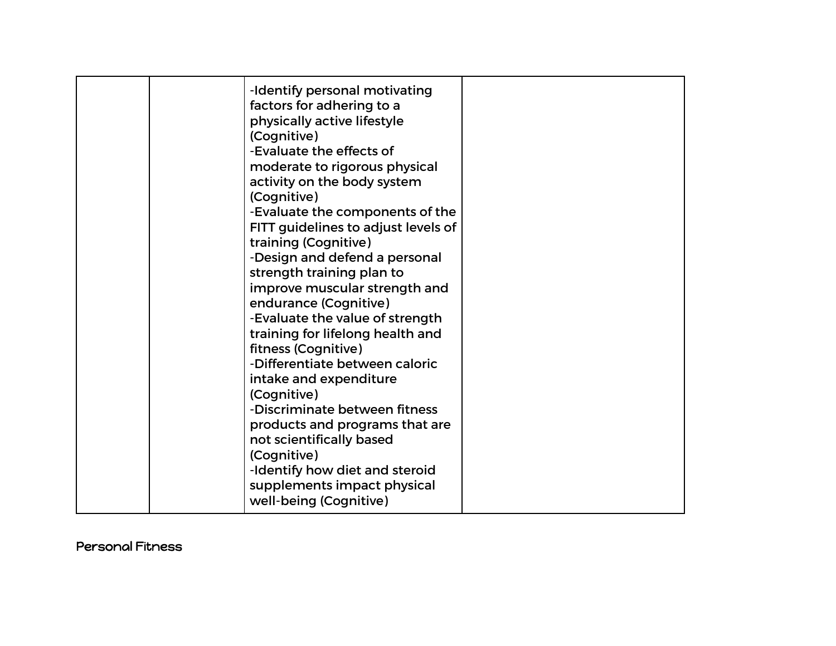|  | -Identify personal motivating<br>factors for adhering to a<br>physically active lifestyle<br>(Cognitive)<br>-Evaluate the effects of<br>moderate to rigorous physical<br>activity on the body system<br>(Cognitive)<br>-Evaluate the components of the<br>FITT guidelines to adjust levels of<br>training (Cognitive)<br>-Design and defend a personal<br>strength training plan to<br>improve muscular strength and<br>endurance (Cognitive)<br>-Evaluate the value of strength<br>training for lifelong health and<br>fitness (Cognitive)<br>-Differentiate between caloric<br>intake and expenditure<br>(Cognitive)<br>-Discriminate between fitness<br>products and programs that are<br>not scientifically based<br>(Cognitive)<br>-Identify how diet and steroid<br>supplements impact physical |  |
|--|-------------------------------------------------------------------------------------------------------------------------------------------------------------------------------------------------------------------------------------------------------------------------------------------------------------------------------------------------------------------------------------------------------------------------------------------------------------------------------------------------------------------------------------------------------------------------------------------------------------------------------------------------------------------------------------------------------------------------------------------------------------------------------------------------------|--|
|  | well-being (Cognitive)                                                                                                                                                                                                                                                                                                                                                                                                                                                                                                                                                                                                                                                                                                                                                                                |  |

#### Personal Fitness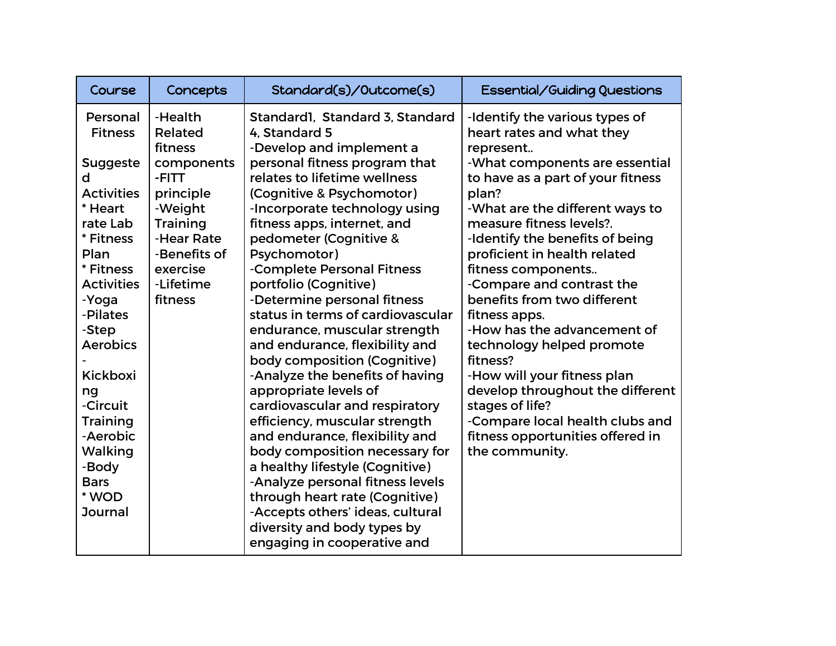| Course                                                                                                                                                                                                                                                                                                                                   | Concepts                                                                                                                                                          | Standard(s)/Outcome(s)                                                                                                                                                                                                                                                                                                                                                                                                                                                                                                                                                                                                                                                                                                                                                                                                                                            | <b>Essential/Guiding Questions</b>                                                                                                                                                                                                                                                                                                                                                                                                                                                                                                                                                                                                                   |
|------------------------------------------------------------------------------------------------------------------------------------------------------------------------------------------------------------------------------------------------------------------------------------------------------------------------------------------|-------------------------------------------------------------------------------------------------------------------------------------------------------------------|-------------------------------------------------------------------------------------------------------------------------------------------------------------------------------------------------------------------------------------------------------------------------------------------------------------------------------------------------------------------------------------------------------------------------------------------------------------------------------------------------------------------------------------------------------------------------------------------------------------------------------------------------------------------------------------------------------------------------------------------------------------------------------------------------------------------------------------------------------------------|------------------------------------------------------------------------------------------------------------------------------------------------------------------------------------------------------------------------------------------------------------------------------------------------------------------------------------------------------------------------------------------------------------------------------------------------------------------------------------------------------------------------------------------------------------------------------------------------------------------------------------------------------|
| Personal<br><b>Fitness</b><br><b>Suggeste</b><br>d<br><b>Activities</b><br>* Heart<br>rate Lab<br>* Fitness<br>Plan<br>* Fitness<br><b>Activities</b><br>-Yoga<br>-Pilates<br>-Step<br><b>Aerobics</b><br><b>Kickboxi</b><br>ng<br>-Circuit<br><b>Training</b><br>-Aerobic<br>Walking<br>-Body<br><b>Bars</b><br>* WOD<br><b>Journal</b> | -Health<br>Related<br>fitness<br>components<br>-FITT<br>principle<br>-Weight<br><b>Training</b><br>-Hear Rate<br>-Benefits of<br>exercise<br>-Lifetime<br>fitness | Standard1, Standard 3, Standard<br>4. Standard 5<br>-Develop and implement a<br>personal fitness program that<br>relates to lifetime wellness<br>(Cognitive & Psychomotor)<br>-Incorporate technology using<br>fitness apps, internet, and<br>pedometer (Cognitive &<br>Psychomotor)<br>-Complete Personal Fitness<br>portfolio (Cognitive)<br>-Determine personal fitness<br>status in terms of cardiovascular<br>endurance, muscular strength<br>and endurance, flexibility and<br>body composition (Cognitive)<br>-Analyze the benefits of having<br>appropriate levels of<br>cardiovascular and respiratory<br>efficiency, muscular strength<br>and endurance, flexibility and<br>body composition necessary for<br>a healthy lifestyle (Cognitive)<br>-Analyze personal fitness levels<br>through heart rate (Cognitive)<br>-Accepts others' ideas, cultural | -Identify the various types of<br>heart rates and what they<br>represent<br>-What components are essential<br>to have as a part of your fitness<br>plan?<br>-What are the different ways to<br>measure fitness levels?.<br>-Identify the benefits of being<br>proficient in health related<br>fitness components<br>-Compare and contrast the<br>benefits from two different<br>fitness apps.<br>-How has the advancement of<br>technology helped promote<br>fitness?<br>-How will your fitness plan<br>develop throughout the different<br>stages of life?<br>-Compare local health clubs and<br>fitness opportunities offered in<br>the community. |
|                                                                                                                                                                                                                                                                                                                                          |                                                                                                                                                                   | diversity and body types by<br>engaging in cooperative and                                                                                                                                                                                                                                                                                                                                                                                                                                                                                                                                                                                                                                                                                                                                                                                                        |                                                                                                                                                                                                                                                                                                                                                                                                                                                                                                                                                                                                                                                      |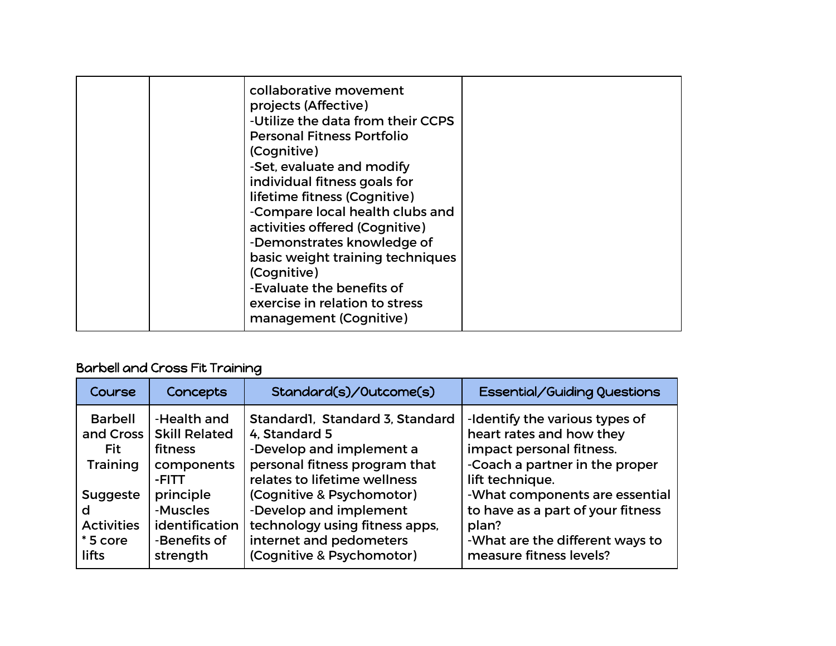| collaborative movement<br>projects (Affective)<br>-Utilize the data from their CCPS<br><b>Personal Fitness Portfolio</b><br>(Cognitive)<br>-Set, evaluate and modify<br>individual fitness goals for<br>lifetime fitness (Cognitive)<br>-Compare local health clubs and<br>activities offered (Cognitive)<br>-Demonstrates knowledge of<br>basic weight training techniques<br>(Cognitive)<br>-Evaluate the benefits of<br>exercise in relation to stress |  |
|-----------------------------------------------------------------------------------------------------------------------------------------------------------------------------------------------------------------------------------------------------------------------------------------------------------------------------------------------------------------------------------------------------------------------------------------------------------|--|
| management (Cognitive)                                                                                                                                                                                                                                                                                                                                                                                                                                    |  |

## Barbell and Cross Fit Training

| Course                                                        | <b>Concepts</b>                                                       | Standard(s)/Outcome(s)                                                                                                                        | Essential/Guiding Questions                                                                                                                 |
|---------------------------------------------------------------|-----------------------------------------------------------------------|-----------------------------------------------------------------------------------------------------------------------------------------------|---------------------------------------------------------------------------------------------------------------------------------------------|
| <b>Barbell</b><br>and Cross<br>Fit<br><b>Training</b>         | -Health and<br><b>Skill Related</b><br>fitness<br>components<br>-FITT | Standard1, Standard 3, Standard<br>4. Standard 5<br>-Develop and implement a<br>personal fitness program that<br>relates to lifetime wellness | -Identify the various types of<br>heart rates and how they<br>impact personal fitness.<br>-Coach a partner in the proper<br>lift technique. |
| <b>Suggeste</b><br>d<br><b>Activities</b><br>*5 core<br>lifts | principle<br>-Muscles<br>identification<br>-Benefits of<br>strength   | (Cognitive & Psychomotor)<br>-Develop and implement<br>technology using fitness apps,<br>internet and pedometers<br>(Cognitive & Psychomotor) | -What components are essential<br>to have as a part of your fitness<br>plan?<br>-What are the different ways to<br>measure fitness levels?  |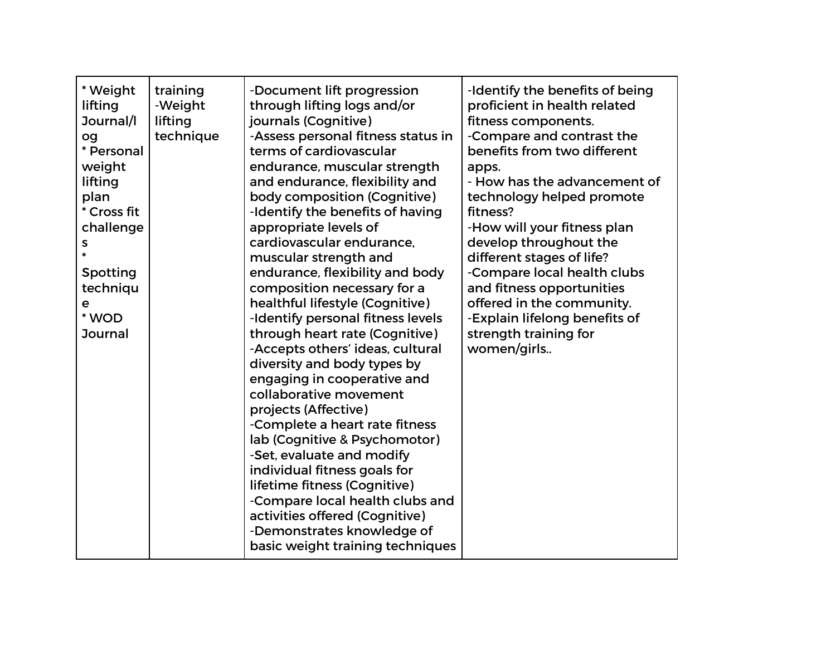| * Weight<br>lifting<br>Journal/I<br>og<br>* Personal<br>weight<br>lifting<br>plan<br>* Cross fit<br>challenge<br>s<br>Spotting<br>techniqu<br>е<br>* WOD<br><b>Journal</b> | training<br>-Weight<br>lifting<br>technique | -Document lift progression<br>through lifting logs and/or<br>journals (Cognitive)<br>-Assess personal fitness status in<br>terms of cardiovascular<br>endurance, muscular strength<br>and endurance, flexibility and<br>body composition (Cognitive)<br>-Identify the benefits of having<br>appropriate levels of<br>cardiovascular endurance.<br>muscular strength and<br>endurance, flexibility and body<br>composition necessary for a<br>healthful lifestyle (Cognitive)<br>-Identify personal fitness levels<br>through heart rate (Cognitive)<br>-Accepts others' ideas, cultural<br>diversity and body types by<br>engaging in cooperative and<br>collaborative movement<br>projects (Affective)<br>-Complete a heart rate fitness<br>lab (Cognitive & Psychomotor)<br>-Set, evaluate and modify<br>individual fitness goals for<br>lifetime fitness (Cognitive)<br>-Compare local health clubs and<br>activities offered (Cognitive)<br>-Demonstrates knowledge of<br>basic weight training techniques | -Identify the benefits of being<br>proficient in health related<br>fitness components.<br>-Compare and contrast the<br>benefits from two different<br>apps.<br>- How has the advancement of<br>technology helped promote<br>fitness?<br>-How will your fitness plan<br>develop throughout the<br>different stages of life?<br>-Compare local health clubs<br>and fitness opportunities<br>offered in the community.<br>-Explain lifelong benefits of<br>strength training for<br>women/girls |
|----------------------------------------------------------------------------------------------------------------------------------------------------------------------------|---------------------------------------------|----------------------------------------------------------------------------------------------------------------------------------------------------------------------------------------------------------------------------------------------------------------------------------------------------------------------------------------------------------------------------------------------------------------------------------------------------------------------------------------------------------------------------------------------------------------------------------------------------------------------------------------------------------------------------------------------------------------------------------------------------------------------------------------------------------------------------------------------------------------------------------------------------------------------------------------------------------------------------------------------------------------|----------------------------------------------------------------------------------------------------------------------------------------------------------------------------------------------------------------------------------------------------------------------------------------------------------------------------------------------------------------------------------------------------------------------------------------------------------------------------------------------|